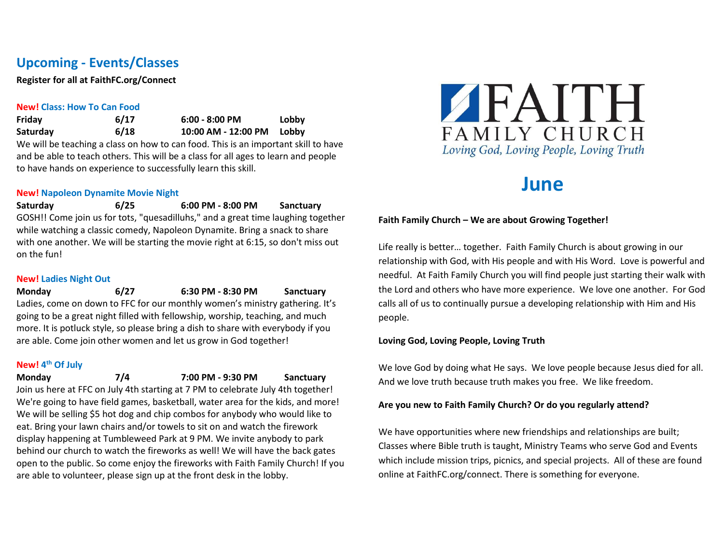# **Upcoming - Events/Classes**

**Register for all at FaithFC.org/Connect**

#### **New! Class: How To Can Food**

**Friday 6/17 6:00 - 8:00 PM Lobby Saturday 6/18 10:00 AM - 12:00 PM Lobby** We will be teaching a class on how to can food. This is an important skill to have and be able to teach others. This will be a class for all ages to learn and people to have hands on experience to successfully learn this skill.

#### **New! Napoleon Dynamite Movie Night**

**Saturday 6/25 6:00 PM - 8:00 PM Sanctuary** GOSH!! Come join us for tots, "quesadilluhs," and a great time laughing together while watching a classic comedy, Napoleon Dynamite. Bring a snack to share with one another. We will be starting the movie right at 6:15, so don't miss out on the fun!

#### **New! Ladies Night Out**

**Monday 6/27 6:30 PM - 8:30 PM Sanctuary** Ladies, come on down to FFC for our monthly women's ministry gathering. It's going to be a great night filled with fellowship, worship, teaching, and much more. It is potluck style, so please bring a dish to share with everybody if you are able. Come join other women and let us grow in God together!

#### **New! 4th Of July**

**Monday 7/4 7:00 PM - 9:30 PM Sanctuary**

Join us here at FFC on July 4th starting at 7 PM to celebrate July 4th together! We're going to have field games, basketball, water area for the kids, and more! We will be selling \$5 hot dog and chip combos for anybody who would like to eat. Bring your lawn chairs and/or towels to sit on and watch the firework display happening at Tumbleweed Park at 9 PM. We invite anybody to park behind our church to watch the fireworks as well! We will have the back gates open to the public. So come enjoy the fireworks with Faith Family Church! If you are able to volunteer, please sign up at the front desk in the lobby.



# **June**

#### **Faith Family Church – We are about Growing Together!**

Life really is better… together. Faith Family Church is about growing in our relationship with God, with His people and with His Word. Love is powerful and needful. At Faith Family Church you will find people just starting their walk with the Lord and others who have more experience. We love one another. For God calls all of us to continually pursue a developing relationship with Him and His people.

#### **Loving God, Loving People, Loving Truth**

We love God by doing what He says. We love people because Jesus died for all. And we love truth because truth makes you free. We like freedom.

#### **Are you new to Faith Family Church? Or do you regularly attend?**

We have opportunities where new friendships and relationships are built; Classes where Bible truth is taught, Ministry Teams who serve God and Events which include mission trips, picnics, and special projects. All of these are found online at FaithFC.org/connect. There is something for everyone.